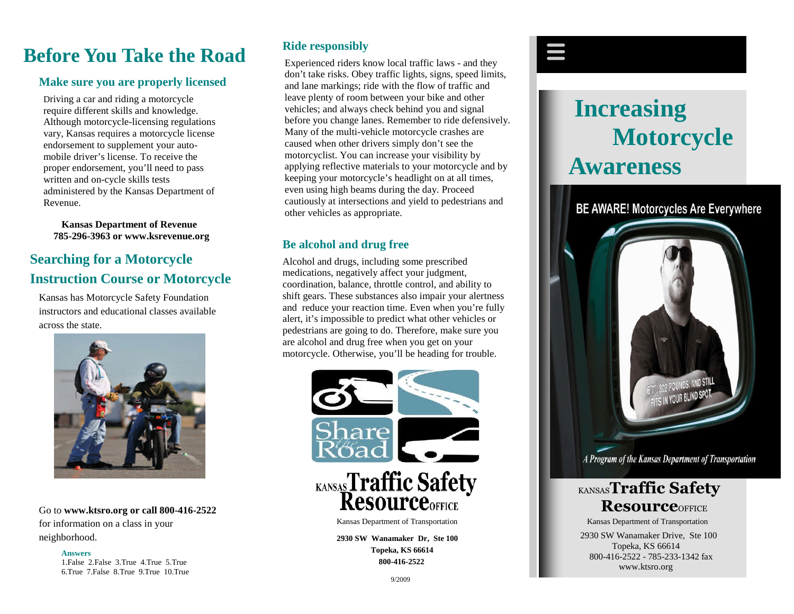# **Before You Take the Road**

### **Make sure you are properly licensed**

Driving a car and riding a motorcycle require different skills and knowledge. Although motorcycle-licensing regulations vary, Kansas requires a motorcycle license endorsement to supplement your automobile driver's license. To receive the proper endorsement, you'll need to pass written and on-cycle skills tests administered by the Kansas Department of Revenue.

**Kansas Department of Revenue 785-296-3963 or www.ksrevenue.org**

# **Searching for a Motorcycle Instruction Course or Motorcycle**

Kansas has Motorcycle Safety Foundation instructors and educational classes available across the state.



Go to **www.ktsro.org or call 800-416-2522** for information on a class in your neighborhood.

#### **Answers**

1.False 2.False 3.True 4.True 5.True 6.True 7.False 8.True 9.True 10.True

## **Ride responsibly**

Experienced riders know local traffic laws - and they don't take risks. Obey traffic lights, signs, speed limits, and lane markings; ride with the flow of traffic and leave plenty of room between your bike and other vehicles; and always check behind you and signal before you change lanes. Remember to ride defensively. Many of the multi-vehicle motorcycle crashes are caused when other drivers simply don't see the motorcyclist. You can increase your visibility by applying reflective materials to your motorcycle and by keeping your motorcycle's headlight on at all times, even using high beams during the day. Proceed cautiously at intersections and yield to pedestrians and other vehicles as appropriate.

## **Be alcohol and drug free**

Alcohol and drugs, including some prescribed medications, negatively affect your judgment, coordination, balance, throttle control, and ability to shift gears. These substances also impair your alertness and reduce your reaction time. Even when you're fully alert, it's impossible to predict what other vehicles or pedestrians are going to do. Therefore, make sure you are alcohol and drug free when you get on your motorcycle. Otherwise, you'll be heading for trouble.



**2930 SW Wanamaker Dr, Ste 100 Topeka, KS 66614 800-416-2522**



# **Increasing Motorcycle Awareness**

**BE AWARE! Motorcycles Are Everywhere** 



A Program of the Kansas Department of Transportation

# KANSAS**Traffic Safety Resource**OFFICE

2930 SW Wanamaker Drive, Ste 100 Topeka, KS 66614 800-416-2522 - 785-233-1342 fax www.ktsro.org